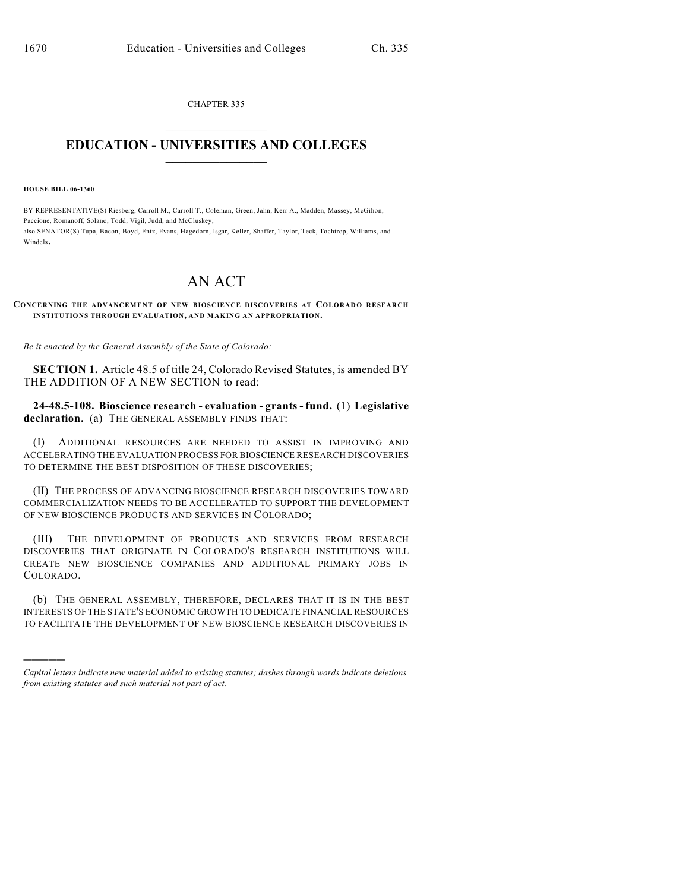CHAPTER 335  $\overline{\phantom{a}}$  . The set of the set of the set of the set of the set of the set of the set of the set of the set of the set of the set of the set of the set of the set of the set of the set of the set of the set of the set o

## **EDUCATION - UNIVERSITIES AND COLLEGES**  $\_$

**HOUSE BILL 06-1360**

)))))

BY REPRESENTATIVE(S) Riesberg, Carroll M., Carroll T., Coleman, Green, Jahn, Kerr A., Madden, Massey, McGihon, Paccione, Romanoff, Solano, Todd, Vigil, Judd, and McCluskey; also SENATOR(S) Tupa, Bacon, Boyd, Entz, Evans, Hagedorn, Isgar, Keller, Shaffer, Taylor, Teck, Tochtrop, Williams, and Windels.

## AN ACT

## **CONCERNING THE ADVANCEMENT OF NEW BIOSCIENCE DISCOVERIES AT COLORADO RESEARCH INSTITUTIONS THROUGH EVALUATION, AND MAKING AN APPROPRIATION.**

*Be it enacted by the General Assembly of the State of Colorado:*

**SECTION 1.** Article 48.5 of title 24, Colorado Revised Statutes, is amended BY THE ADDITION OF A NEW SECTION to read:

**24-48.5-108. Bioscience research - evaluation - grants - fund.** (1) **Legislative declaration.** (a) THE GENERAL ASSEMBLY FINDS THAT:

(I) ADDITIONAL RESOURCES ARE NEEDED TO ASSIST IN IMPROVING AND ACCELERATING THE EVALUATION PROCESS FOR BIOSCIENCE RESEARCH DISCOVERIES TO DETERMINE THE BEST DISPOSITION OF THESE DISCOVERIES;

(II) THE PROCESS OF ADVANCING BIOSCIENCE RESEARCH DISCOVERIES TOWARD COMMERCIALIZATION NEEDS TO BE ACCELERATED TO SUPPORT THE DEVELOPMENT OF NEW BIOSCIENCE PRODUCTS AND SERVICES IN COLORADO;

(III) THE DEVELOPMENT OF PRODUCTS AND SERVICES FROM RESEARCH DISCOVERIES THAT ORIGINATE IN COLORADO'S RESEARCH INSTITUTIONS WILL CREATE NEW BIOSCIENCE COMPANIES AND ADDITIONAL PRIMARY JOBS IN COLORADO.

(b) THE GENERAL ASSEMBLY, THEREFORE, DECLARES THAT IT IS IN THE BEST INTERESTS OF THE STATE'S ECONOMIC GROWTH TO DEDICATE FINANCIAL RESOURCES TO FACILITATE THE DEVELOPMENT OF NEW BIOSCIENCE RESEARCH DISCOVERIES IN

*Capital letters indicate new material added to existing statutes; dashes through words indicate deletions from existing statutes and such material not part of act.*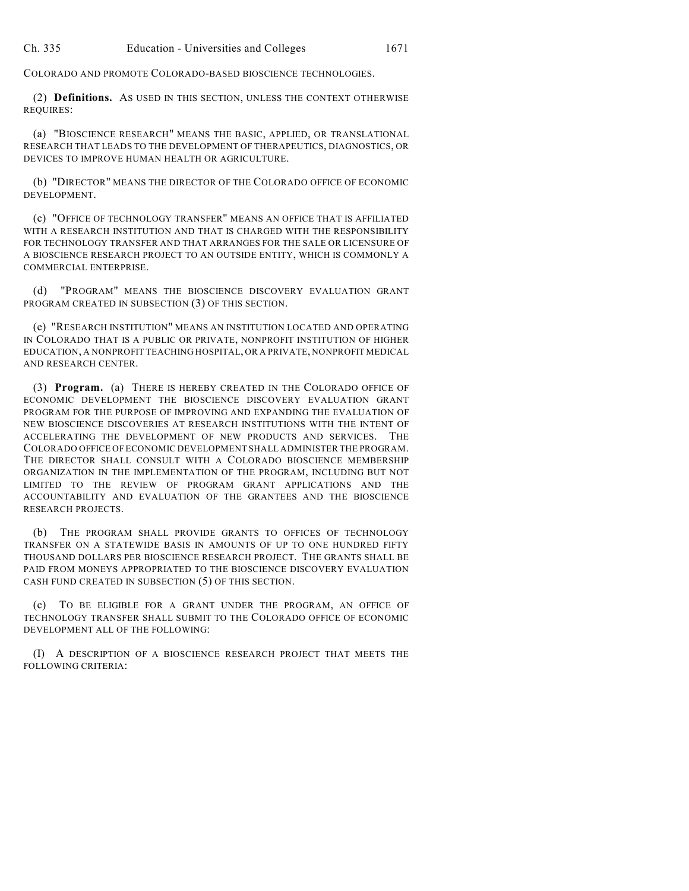COLORADO AND PROMOTE COLORADO-BASED BIOSCIENCE TECHNOLOGIES.

(2) **Definitions.** AS USED IN THIS SECTION, UNLESS THE CONTEXT OTHERWISE REQUIRES:

(a) "BIOSCIENCE RESEARCH" MEANS THE BASIC, APPLIED, OR TRANSLATIONAL RESEARCH THAT LEADS TO THE DEVELOPMENT OF THERAPEUTICS, DIAGNOSTICS, OR DEVICES TO IMPROVE HUMAN HEALTH OR AGRICULTURE.

(b) "DIRECTOR" MEANS THE DIRECTOR OF THE COLORADO OFFICE OF ECONOMIC DEVELOPMENT.

(c) "OFFICE OF TECHNOLOGY TRANSFER" MEANS AN OFFICE THAT IS AFFILIATED WITH A RESEARCH INSTITUTION AND THAT IS CHARGED WITH THE RESPONSIBILITY FOR TECHNOLOGY TRANSFER AND THAT ARRANGES FOR THE SALE OR LICENSURE OF A BIOSCIENCE RESEARCH PROJECT TO AN OUTSIDE ENTITY, WHICH IS COMMONLY A COMMERCIAL ENTERPRISE.

(d) "PROGRAM" MEANS THE BIOSCIENCE DISCOVERY EVALUATION GRANT PROGRAM CREATED IN SUBSECTION (3) OF THIS SECTION.

(e) "RESEARCH INSTITUTION" MEANS AN INSTITUTION LOCATED AND OPERATING IN COLORADO THAT IS A PUBLIC OR PRIVATE, NONPROFIT INSTITUTION OF HIGHER EDUCATION, A NONPROFIT TEACHING HOSPITAL, OR A PRIVATE, NONPROFIT MEDICAL AND RESEARCH CENTER.

(3) **Program.** (a) THERE IS HEREBY CREATED IN THE COLORADO OFFICE OF ECONOMIC DEVELOPMENT THE BIOSCIENCE DISCOVERY EVALUATION GRANT PROGRAM FOR THE PURPOSE OF IMPROVING AND EXPANDING THE EVALUATION OF NEW BIOSCIENCE DISCOVERIES AT RESEARCH INSTITUTIONS WITH THE INTENT OF ACCELERATING THE DEVELOPMENT OF NEW PRODUCTS AND SERVICES. THE COLORADO OFFICE OF ECONOMIC DEVELOPMENT SHALL ADMINISTER THE PROGRAM. THE DIRECTOR SHALL CONSULT WITH A COLORADO BIOSCIENCE MEMBERSHIP ORGANIZATION IN THE IMPLEMENTATION OF THE PROGRAM, INCLUDING BUT NOT LIMITED TO THE REVIEW OF PROGRAM GRANT APPLICATIONS AND THE ACCOUNTABILITY AND EVALUATION OF THE GRANTEES AND THE BIOSCIENCE RESEARCH PROJECTS.

(b) THE PROGRAM SHALL PROVIDE GRANTS TO OFFICES OF TECHNOLOGY TRANSFER ON A STATEWIDE BASIS IN AMOUNTS OF UP TO ONE HUNDRED FIFTY THOUSAND DOLLARS PER BIOSCIENCE RESEARCH PROJECT. THE GRANTS SHALL BE PAID FROM MONEYS APPROPRIATED TO THE BIOSCIENCE DISCOVERY EVALUATION CASH FUND CREATED IN SUBSECTION (5) OF THIS SECTION.

(c) TO BE ELIGIBLE FOR A GRANT UNDER THE PROGRAM, AN OFFICE OF TECHNOLOGY TRANSFER SHALL SUBMIT TO THE COLORADO OFFICE OF ECONOMIC DEVELOPMENT ALL OF THE FOLLOWING:

(I) A DESCRIPTION OF A BIOSCIENCE RESEARCH PROJECT THAT MEETS THE FOLLOWING CRITERIA: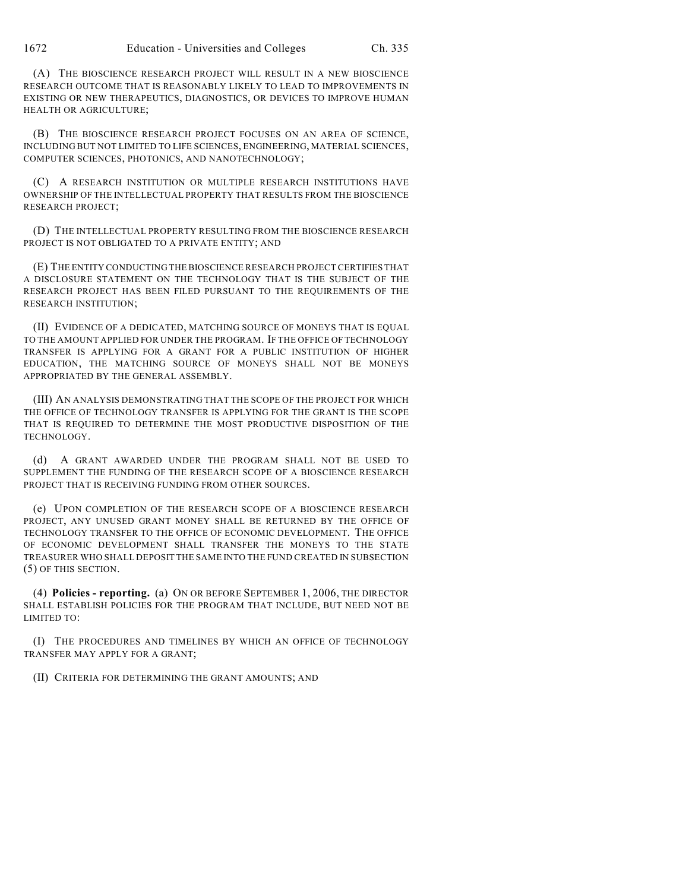(A) THE BIOSCIENCE RESEARCH PROJECT WILL RESULT IN A NEW BIOSCIENCE RESEARCH OUTCOME THAT IS REASONABLY LIKELY TO LEAD TO IMPROVEMENTS IN EXISTING OR NEW THERAPEUTICS, DIAGNOSTICS, OR DEVICES TO IMPROVE HUMAN HEALTH OR AGRICULTURE;

(B) THE BIOSCIENCE RESEARCH PROJECT FOCUSES ON AN AREA OF SCIENCE, INCLUDING BUT NOT LIMITED TO LIFE SCIENCES, ENGINEERING, MATERIAL SCIENCES, COMPUTER SCIENCES, PHOTONICS, AND NANOTECHNOLOGY;

(C) A RESEARCH INSTITUTION OR MULTIPLE RESEARCH INSTITUTIONS HAVE OWNERSHIP OF THE INTELLECTUAL PROPERTY THAT RESULTS FROM THE BIOSCIENCE RESEARCH PROJECT;

(D) THE INTELLECTUAL PROPERTY RESULTING FROM THE BIOSCIENCE RESEARCH PROJECT IS NOT OBLIGATED TO A PRIVATE ENTITY; AND

(E) THE ENTITY CONDUCTING THE BIOSCIENCE RESEARCH PROJECT CERTIFIES THAT A DISCLOSURE STATEMENT ON THE TECHNOLOGY THAT IS THE SUBJECT OF THE RESEARCH PROJECT HAS BEEN FILED PURSUANT TO THE REQUIREMENTS OF THE RESEARCH INSTITUTION;

(II) EVIDENCE OF A DEDICATED, MATCHING SOURCE OF MONEYS THAT IS EQUAL TO THE AMOUNT APPLIED FOR UNDER THE PROGRAM. IF THE OFFICE OF TECHNOLOGY TRANSFER IS APPLYING FOR A GRANT FOR A PUBLIC INSTITUTION OF HIGHER EDUCATION, THE MATCHING SOURCE OF MONEYS SHALL NOT BE MONEYS APPROPRIATED BY THE GENERAL ASSEMBLY.

(III) AN ANALYSIS DEMONSTRATING THAT THE SCOPE OF THE PROJECT FOR WHICH THE OFFICE OF TECHNOLOGY TRANSFER IS APPLYING FOR THE GRANT IS THE SCOPE THAT IS REQUIRED TO DETERMINE THE MOST PRODUCTIVE DISPOSITION OF THE TECHNOLOGY.

(d) A GRANT AWARDED UNDER THE PROGRAM SHALL NOT BE USED TO SUPPLEMENT THE FUNDING OF THE RESEARCH SCOPE OF A BIOSCIENCE RESEARCH PROJECT THAT IS RECEIVING FUNDING FROM OTHER SOURCES.

(e) UPON COMPLETION OF THE RESEARCH SCOPE OF A BIOSCIENCE RESEARCH PROJECT, ANY UNUSED GRANT MONEY SHALL BE RETURNED BY THE OFFICE OF TECHNOLOGY TRANSFER TO THE OFFICE OF ECONOMIC DEVELOPMENT. THE OFFICE OF ECONOMIC DEVELOPMENT SHALL TRANSFER THE MONEYS TO THE STATE TREASURER WHO SHALL DEPOSIT THE SAME INTO THE FUND CREATED IN SUBSECTION (5) OF THIS SECTION.

(4) **Policies - reporting.** (a) ON OR BEFORE SEPTEMBER 1, 2006, THE DIRECTOR SHALL ESTABLISH POLICIES FOR THE PROGRAM THAT INCLUDE, BUT NEED NOT BE LIMITED TO:

(I) THE PROCEDURES AND TIMELINES BY WHICH AN OFFICE OF TECHNOLOGY TRANSFER MAY APPLY FOR A GRANT;

(II) CRITERIA FOR DETERMINING THE GRANT AMOUNTS; AND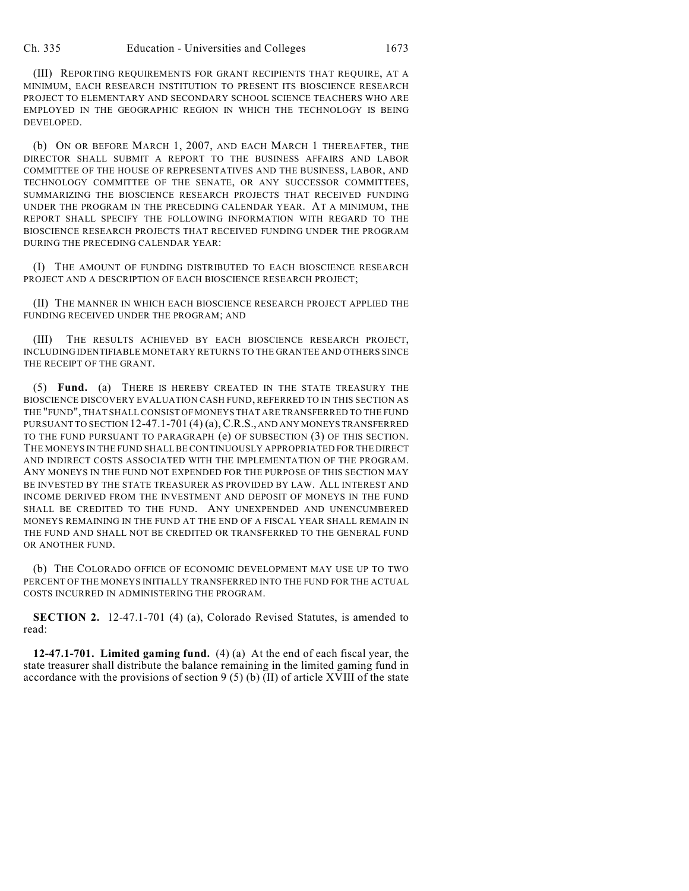(III) REPORTING REQUIREMENTS FOR GRANT RECIPIENTS THAT REQUIRE, AT A MINIMUM, EACH RESEARCH INSTITUTION TO PRESENT ITS BIOSCIENCE RESEARCH PROJECT TO ELEMENTARY AND SECONDARY SCHOOL SCIENCE TEACHERS WHO ARE EMPLOYED IN THE GEOGRAPHIC REGION IN WHICH THE TECHNOLOGY IS BEING DEVELOPED.

(b) ON OR BEFORE MARCH 1, 2007, AND EACH MARCH 1 THEREAFTER, THE DIRECTOR SHALL SUBMIT A REPORT TO THE BUSINESS AFFAIRS AND LABOR COMMITTEE OF THE HOUSE OF REPRESENTATIVES AND THE BUSINESS, LABOR, AND TECHNOLOGY COMMITTEE OF THE SENATE, OR ANY SUCCESSOR COMMITTEES, SUMMARIZING THE BIOSCIENCE RESEARCH PROJECTS THAT RECEIVED FUNDING UNDER THE PROGRAM IN THE PRECEDING CALENDAR YEAR. AT A MINIMUM, THE REPORT SHALL SPECIFY THE FOLLOWING INFORMATION WITH REGARD TO THE BIOSCIENCE RESEARCH PROJECTS THAT RECEIVED FUNDING UNDER THE PROGRAM DURING THE PRECEDING CALENDAR YEAR:

(I) THE AMOUNT OF FUNDING DISTRIBUTED TO EACH BIOSCIENCE RESEARCH PROJECT AND A DESCRIPTION OF EACH BIOSCIENCE RESEARCH PROJECT;

(II) THE MANNER IN WHICH EACH BIOSCIENCE RESEARCH PROJECT APPLIED THE FUNDING RECEIVED UNDER THE PROGRAM; AND

(III) THE RESULTS ACHIEVED BY EACH BIOSCIENCE RESEARCH PROJECT, INCLUDING IDENTIFIABLE MONETARY RETURNS TO THE GRANTEE AND OTHERS SINCE THE RECEIPT OF THE GRANT.

(5) **Fund.** (a) THERE IS HEREBY CREATED IN THE STATE TREASURY THE BIOSCIENCE DISCOVERY EVALUATION CASH FUND, REFERRED TO IN THIS SECTION AS THE "FUND", THAT SHALL CONSIST OF MONEYS THAT ARE TRANSFERRED TO THE FUND PURSUANT TO SECTION 12-47.1-701 (4) (a), C.R.S., AND ANY MONEYS TRANSFERRED TO THE FUND PURSUANT TO PARAGRAPH (e) OF SUBSECTION (3) OF THIS SECTION. THE MONEYS IN THE FUND SHALL BE CONTINUOUSLY APPROPRIATED FOR THE DIRECT AND INDIRECT COSTS ASSOCIATED WITH THE IMPLEMENTATION OF THE PROGRAM. ANY MONEYS IN THE FUND NOT EXPENDED FOR THE PURPOSE OF THIS SECTION MAY BE INVESTED BY THE STATE TREASURER AS PROVIDED BY LAW. ALL INTEREST AND INCOME DERIVED FROM THE INVESTMENT AND DEPOSIT OF MONEYS IN THE FUND SHALL BE CREDITED TO THE FUND. ANY UNEXPENDED AND UNENCUMBERED MONEYS REMAINING IN THE FUND AT THE END OF A FISCAL YEAR SHALL REMAIN IN THE FUND AND SHALL NOT BE CREDITED OR TRANSFERRED TO THE GENERAL FUND OR ANOTHER FUND.

(b) THE COLORADO OFFICE OF ECONOMIC DEVELOPMENT MAY USE UP TO TWO PERCENT OF THE MONEYS INITIALLY TRANSFERRED INTO THE FUND FOR THE ACTUAL COSTS INCURRED IN ADMINISTERING THE PROGRAM.

**SECTION 2.** 12-47.1-701 (4) (a), Colorado Revised Statutes, is amended to read:

**12-47.1-701. Limited gaming fund.** (4) (a) At the end of each fiscal year, the state treasurer shall distribute the balance remaining in the limited gaming fund in accordance with the provisions of section 9 (5) (b) (II) of article XVIII of the state